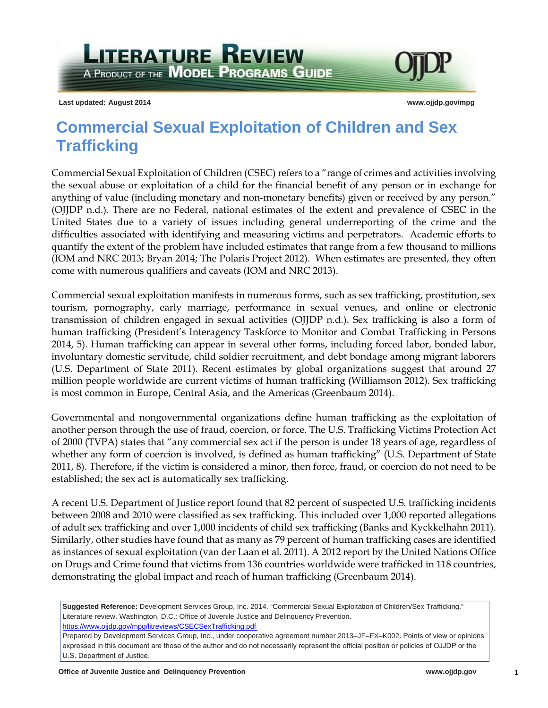**LITERATURE REVIEW** A PRODUCT OF THE **MODEL PROGRAMS GUIDE** 

**Last updated: August 2014 [www.ojjdp.gov/mpg](http://www.ojjdp.gov/mpg)** 

# **Commercial Sexual Exploitation of Children and Sex Trafficking**

 Commercial Sexual Exploitation of Children (CSEC) refers to a "range of crimes and activities involving United States due to a variety of issues including general underreporting of the crime and the quantify the extent of the problem have included estimates that range from a few thousand to millions the sexual abuse or exploitation of a child for the financial benefit of any person or in exchange for anything of value (including monetary and non-monetary benefits) given or received by any person." (OJJDP n.d.). There are no Federal, national estimates of the extent and prevalence of CSEC in the difficulties associated with identifying and measuring victims and perpetrators. Academic efforts to (IOM and NRC 2013; Bryan 2014; The Polaris Project 2012). When estimates are presented, they often come with numerous qualifiers and caveats (IOM and NRC 2013).

 tourism, pornography, early marriage, performance in sexual venues, and online or electronic Commercial sexual exploitation manifests in numerous forms, such as sex trafficking, prostitution, sex transmission of children engaged in sexual activities (OJJDP n.d.). Sex trafficking is also a form of human trafficking (President's Interagency Taskforce to Monitor and Combat Trafficking in Persons 2014, 5). Human trafficking can appear in several other forms, including forced labor, bonded labor, involuntary domestic servitude, child soldier recruitment, and debt bondage among migrant laborers (U.S. Department of State 2011). Recent estimates by global organizations suggest that around 27 million people worldwide are current victims of human trafficking (Williamson 2012). Sex trafficking is most common in Europe, Central Asia, and the Americas (Greenbaum 2014).

Governmental and nongovernmental organizations define human trafficking as the exploitation of another person through the use of fraud, coercion, or force. The U.S. Trafficking Victims Protection Act of 2000 (TVPA) states that "any commercial sex act if the person is under 18 years of age, regardless of whether any form of coercion is involved, is defined as human trafficking" (U.S. Department of State 2011, 8). Therefore, if the victim is considered a minor, then force, fraud, or coercion do not need to be established; the sex act is automatically sex trafficking.<br>A recent U.S. Department of Justice report found that 82 percent of suspected U.S. trafficking incidents

 Similarly, other studies have found that as many as 79 percent of human trafficking cases are identified as instances of sexual exploitation (van der Laan et al. 2011). A 2012 report by the United Nations Office on Drugs and Crime found that victims from 136 countries worldwide were trafficked in 118 countries, between 2008 and 2010 were classified as sex trafficking. This included over 1,000 reported allegations of adult sex trafficking and over 1,000 incidents of child sex trafficking (Banks and Kyckkelhahn 2011). demonstrating the global impact and reach of human trafficking (Greenbaum 2014).

**Suggested Reference:** Development Services Group, Inc. 2014. "Commercial Sexual Exploitation of Children/Sex Trafficking." Literature review. Washington, D.C.: Office of Juvenile Justice and Delinquency Prevention. https://www.ojjdp.gov/mpg/litreviews/CSECSexTrafficking.pdf

Prepared by Development Services Group, Inc., under cooperative agreement number 2013–JF–FX–K002. Points of view or opinions contained and the contained and the contained and the contained and the contained and the contain e[xpressed in this document are those of the author and do not ne](https://www.ojjdp.gov/mpg/litreviews/CSECSexTrafficking.pdf)cessarily represent the official position or policies of OJJDP or the U.S. Department of Justice.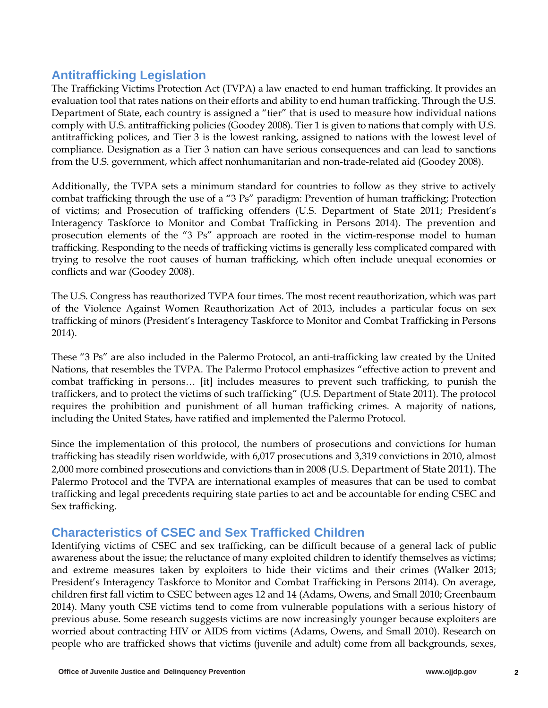# **Antitrafficking Legislation**

 evaluation tool that rates nations on their efforts and ability to end human trafficking. Through the U.S. comply with U.S. antitrafficking policies (Goodey 2008). Tier 1 is given to nations that comply with U.S. from the U.S. government, which affect nonhumanitarian and non-trade-related aid (Goodey 2008). The Trafficking Victims Protection Act (TVPA) a law enacted to end human trafficking. It provides an Department of State, each country is assigned a "tier" that is used to measure how individual nations antitrafficking polices, and Tier 3 is the lowest ranking, assigned to nations with the lowest level of compliance. Designation as a Tier 3 nation can have serious consequences and can lead to sanctions

 of victims; and Prosecution of trafficking offenders (U.S. Department of State 2011; President's prosecution elements of the "3 Ps" approach are rooted in the victim-response model to human Additionally, the TVPA sets a minimum standard for countries to follow as they strive to actively combat trafficking through the use of a "3 Ps" paradigm: Prevention of human trafficking; Protection Interagency Taskforce to Monitor and Combat Trafficking in Persons 2014). The prevention and trafficking. Responding to the needs of trafficking victims is generally less complicated compared with trying to resolve the root causes of human trafficking, which often include unequal economies or conflicts and war (Goodey 2008).

The U.S. Congress has reauthorized TVPA four times. The most recent reauthorization, which was part of the Violence Against Women Reauthorization Act of 2013, includes a particular focus on sex trafficking of minors (President's Interagency Taskforce to Monitor and Combat Trafficking in Persons 2014).

 These "3 Ps" are also included in the Palermo Protocol, an anti-trafficking law created by the United including the United States, have ratified and implemented the Palermo Protocol. Nations, that resembles the TVPA. The Palermo Protocol emphasizes "effective action to prevent and combat trafficking in persons… [it] includes measures to prevent such trafficking, to punish the traffickers, and to protect the victims of such trafficking" (U.S. Department of State 2011). The protocol requires the prohibition and punishment of all human trafficking crimes. A majority of nations,

 Since the implementation of this protocol, the numbers of prosecutions and convictions for human trafficking has steadily risen worldwide, with 6,017 prosecutions and 3,319 convictions in 2010, almost 2,000 more combined prosecutions and convictions than in 2008 (U.S. Department of State 2011). The Palermo Protocol and the TVPA are international examples of measures that can be used to combat trafficking and legal precedents requiring state parties to act and be accountable for ending CSEC and Sex trafficking.

### **Characteristics of CSEC and Sex Trafficked Children**

 and extreme measures taken by exploiters to hide their victims and their crimes (Walker 2013; Identifying victims of CSEC and sex trafficking, can be difficult because of a general lack of public awareness about the issue; the reluctance of many exploited children to identify themselves as victims; President's Interagency Taskforce to Monitor and Combat Trafficking in Persons 2014). On average, children first fall victim to CSEC between ages 12 and 14 (Adams, Owens, and Small 2010; Greenbaum 2014). Many youth CSE victims tend to come from vulnerable populations with a serious history of previous abuse. Some research suggests victims are now increasingly younger because exploiters are worried about contracting HIV or AIDS from victims (Adams, Owens, and Small 2010). Research on people who are trafficked shows that victims (juvenile and adult) come from all backgrounds, sexes,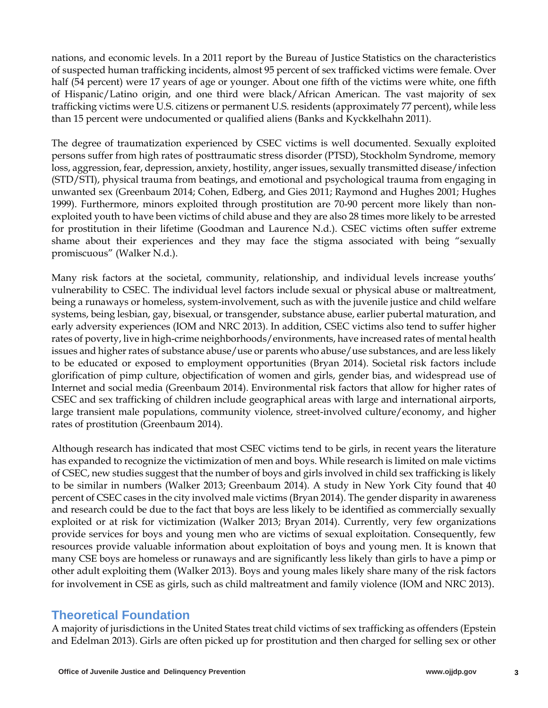of suspected human trafficking incidents, almost 95 percent of sex trafficked victims were female. Over of Hispanic/Latino origin, and one third were black/African American. The vast majority of sex nations, and economic levels. In a 2011 report by the Bureau of Justice Statistics on the characteristics half (54 percent) were 17 years of age or younger. About one fifth of the victims were white, one fifth trafficking victims were U.S. citizens or permanent U.S. residents (approximately 77 percent), while less than 15 percent were undocumented or qualified aliens (Banks and Kyckkelhahn 2011).

 exploited youth to have been victims of child abuse and they are also 28 times more likely to be arrested The degree of traumatization experienced by CSEC victims is well documented. Sexually exploited persons suffer from high rates of posttraumatic stress disorder (PTSD), Stockholm Syndrome, memory loss, aggression, fear, depression, anxiety, hostility, anger issues, sexually transmitted disease/infection (STD/STI), physical trauma from beatings, and emotional and psychological trauma from engaging in unwanted sex (Greenbaum 2014; Cohen, Edberg, and Gies 2011; Raymond and Hughes 2001; Hughes 1999). Furthermore, minors exploited through prostitution are 70-90 percent more likely than nonfor prostitution in their lifetime (Goodman and Laurence N.d.). CSEC victims often suffer extreme shame about their experiences and they may face the stigma associated with being "sexually promiscuous" (Walker N.d.).

 vulnerability to CSEC. The individual level factors include sexual or physical abuse or maltreatment, being a runaways or homeless, system-involvement, such as with the juvenile justice and child welfare rates of poverty, live in high-crime neighborhoods/environments, have increased rates of mental health Many risk factors at the societal, community, relationship, and individual levels increase youths' systems, being lesbian, gay, bisexual, or transgender, substance abuse, earlier pubertal maturation, and early adversity experiences (IOM and NRC 2013). In addition, CSEC victims also tend to suffer higher issues and higher rates of substance abuse/use or parents who abuse/use substances, and are less likely to be educated or exposed to employment opportunities (Bryan 2014). Societal risk factors include glorification of pimp culture, objectification of women and girls, gender bias, and widespread use of Internet and social media (Greenbaum 2014). Environmental risk factors that allow for higher rates of CSEC and sex trafficking of children include geographical areas with large and international airports, large transient male populations, community violence, street-involved culture/economy, and higher rates of prostitution (Greenbaum 2014).

 for involvement in CSE as girls, such as child maltreatment and family violence (IOM and NRC 2013). Although research has indicated that most CSEC victims tend to be girls, in recent years the literature has expanded to recognize the victimization of men and boys. While research is limited on male victims of CSEC, new studies suggest that the number of boys and girls involved in child sex trafficking is likely to be similar in numbers (Walker 2013; Greenbaum 2014). A study in New York City found that 40 percent of CSEC cases in the city involved male victims (Bryan 2014). The gender disparity in awareness and research could be due to the fact that boys are less likely to be identified as commercially sexually exploited or at risk for victimization (Walker 2013; Bryan 2014). Currently, very few organizations provide services for boys and young men who are victims of sexual exploitation. Consequently, few resources provide valuable information about exploitation of boys and young men. It is known that many CSE boys are homeless or runaways and are significantly less likely than girls to have a pimp or other adult exploiting them (Walker 2013). Boys and young males likely share many of the risk factors

# **Theoretical Foundation**

A majority of jurisdictions in the United States treat child victims of sex trafficking as offenders (Epstein and Edelman 2013). Girls are often picked up for prostitution and then charged for selling sex or other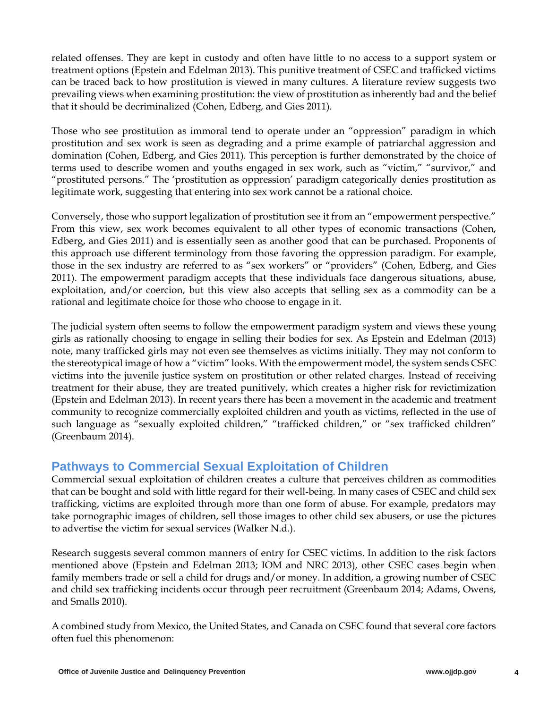prevailing views when examining prostitution: the view of prostitution as inherently bad and the belief related offenses. They are kept in custody and often have little to no access to a support system or treatment options (Epstein and Edelman 2013). This punitive treatment of CSEC and trafficked victims can be traced back to how prostitution is viewed in many cultures. A literature review suggests two that it should be decriminalized (Cohen, Edberg, and Gies 2011).

Those who see prostitution as immoral tend to operate under an "oppression" paradigm in which prostitution and sex work is seen as degrading and a prime example of patriarchal aggression and domination (Cohen, Edberg, and Gies 2011). This perception is further demonstrated by the choice of terms used to describe women and youths engaged in sex work, such as "victim," "survivor," and "prostituted persons." The 'prostitution as oppression' paradigm categorically denies prostitution as legitimate work, suggesting that entering into sex work cannot be a rational choice.

 Conversely, those who support legalization of prostitution see it from an "empowerment perspective." Edberg, and Gies 2011) and is essentially seen as another good that can be purchased. Proponents of exploitation, and/or coercion, but this view also accepts that selling sex as a commodity can be a From this view, sex work becomes equivalent to all other types of economic transactions (Cohen, this approach use different terminology from those favoring the oppression paradigm. For example, those in the sex industry are referred to as "sex workers" or "providers" (Cohen, Edberg, and Gies 2011). The empowerment paradigm accepts that these individuals face dangerous situations, abuse, rational and legitimate choice for those who choose to engage in it.

 girls as rationally choosing to engage in selling their bodies for sex. As Epstein and Edelman (2013) (Epstein and Edelman 2013). In recent years there has been a movement in the academic and treatment The judicial system often seems to follow the empowerment paradigm system and views these young note, many trafficked girls may not even see themselves as victims initially. They may not conform to the stereotypical image of how a "victim" looks. With the empowerment model, the system sends CSEC victims into the juvenile justice system on prostitution or other related charges. Instead of receiving treatment for their abuse, they are treated punitively, which creates a higher risk for revictimization community to recognize commercially exploited children and youth as victims, reflected in the use of such language as "sexually exploited children," "trafficked children," or "sex trafficked children" (Greenbaum 2014).

# **Pathways to Commercial Sexual Exploitation of Children**

Commercial sexual exploitation of children creates a culture that perceives children as commodities that can be bought and sold with little regard for their well-being. In many cases of CSEC and child sex trafficking, victims are exploited through more than one form of abuse. For example, predators may take pornographic images of children, sell those images to other child sex abusers, or use the pictures to advertise the victim for sexual services (Walker N.d.).

 Research suggests several common manners of entry for CSEC victims. In addition to the risk factors mentioned above (Epstein and Edelman 2013; IOM and NRC 2013), other CSEC cases begin when family members trade or sell a child for drugs and/or money. In addition, a growing number of CSEC and child sex trafficking incidents occur through peer recruitment (Greenbaum 2014; Adams, Owens, and Smalls 2010).

A combined study from Mexico, the United States, and Canada on CSEC found that several core factors often fuel this phenomenon: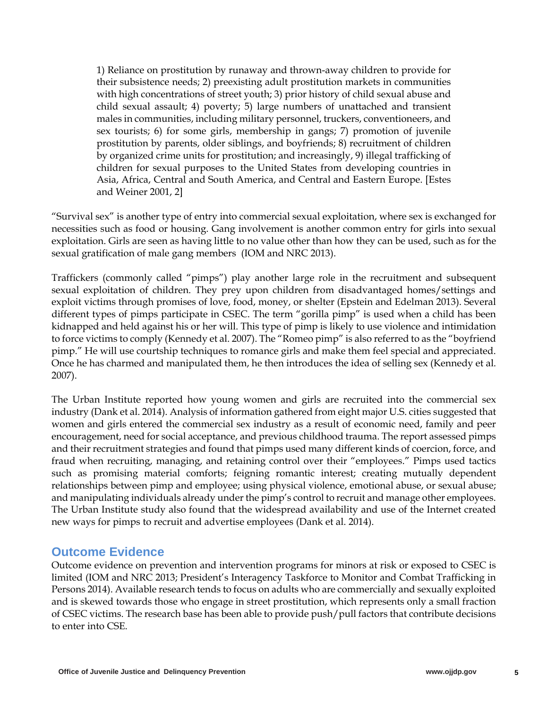with high concentrations of street youth; 3) prior history of child sexual abuse and 1) Reliance on prostitution by runaway and thrown-away children to provide for their subsistence needs; 2) preexisting adult prostitution markets in communities child sexual assault; 4) poverty; 5) large numbers of unattached and transient males in communities, including military personnel, truckers, conventioneers, and sex tourists; 6) for some girls, membership in gangs; 7) promotion of juvenile prostitution by parents, older siblings, and boyfriends; 8) recruitment of children by organized crime units for prostitution; and increasingly, 9) illegal trafficking of children for sexual purposes to the United States from developing countries in Asia, Africa, Central and South America, and Central and Eastern Europe. [Estes and Weiner 2001, 2]

"Survival sex" is another type of entry into commercial sexual exploitation, where sex is exchanged for necessities such as food or housing. Gang involvement is another common entry for girls into sexual exploitation. Girls are seen as having little to no value other than how they can be used, such as for the sexual gratification of male gang members (IOM and NRC 2013).

 exploit victims through promises of love, food, money, or shelter (Epstein and Edelman 2013). Several kidnapped and held against his or her will. This type of pimp is likely to use violence and intimidation Once he has charmed and manipulated them, he then introduces the idea of selling sex (Kennedy et al. Traffickers (commonly called "pimps") play another large role in the recruitment and subsequent sexual exploitation of children. They prey upon children from disadvantaged homes/settings and different types of pimps participate in CSEC. The term "gorilla pimp" is used when a child has been to force victims to comply (Kennedy et al. 2007). The "Romeo pimp" is also referred to as the "boyfriend pimp." He will use courtship techniques to romance girls and make them feel special and appreciated. 2007).

 encouragement, need for social acceptance, and previous childhood trauma. The report assessed pimps fraud when recruiting, managing, and retaining control over their "employees." Pimps used tactics The Urban Institute study also found that the widespread availability and use of the Internet created The Urban Institute reported how young women and girls are recruited into the commercial sex industry (Dank et al. 2014). Analysis of information gathered from eight major U.S. cities suggested that women and girls entered the commercial sex industry as a result of economic need, family and peer and their recruitment strategies and found that pimps used many different kinds of coercion, force, and such as promising material comforts; feigning romantic interest; creating mutually dependent relationships between pimp and employee; using physical violence, emotional abuse, or sexual abuse; and manipulating individuals already under the pimp's control to recruit and manage other employees. new ways for pimps to recruit and advertise employees (Dank et al. 2014).

#### **Outcome Evidence**

Outcome evidence on prevention and intervention programs for minors at risk or exposed to CSEC is limited (IOM and NRC 2013; President's Interagency Taskforce to Monitor and Combat Trafficking in Persons 2014). Available research tends to focus on adults who are commercially and sexually exploited and is skewed towards those who engage in street prostitution, which represents only a small fraction of CSEC victims. The research base has been able to provide push/pull factors that contribute decisions to enter into CSE.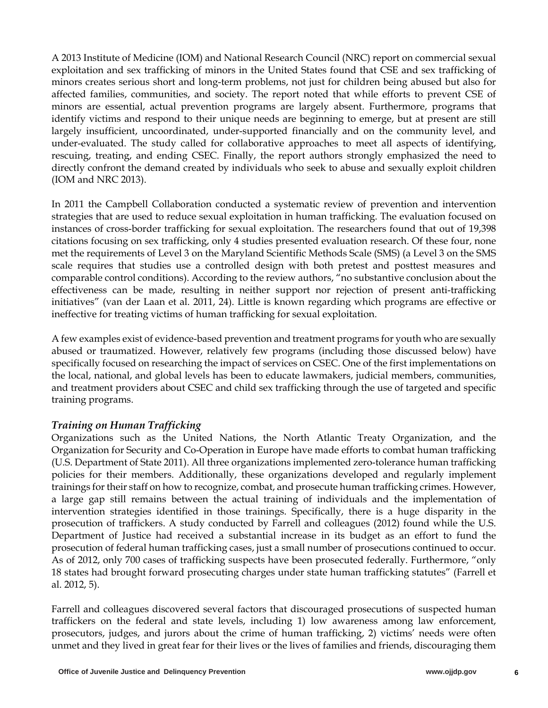directly confront the demand created by individuals who seek to abuse and sexually exploit children A 2013 Institute of Medicine (IOM) and National Research Council (NRC) report on commercial sexual exploitation and sex trafficking of minors in the United States found that CSE and sex trafficking of minors creates serious short and long-term problems, not just for children being abused but also for affected families, communities, and society. The report noted that while efforts to prevent CSE of minors are essential, actual prevention programs are largely absent. Furthermore, programs that identify victims and respond to their unique needs are beginning to emerge, but at present are still largely insufficient, uncoordinated, under-supported financially and on the community level, and under-evaluated. The study called for collaborative approaches to meet all aspects of identifying, rescuing, treating, and ending CSEC. Finally, the report authors strongly emphasized the need to (IOM and NRC 2013).

In 2011 the Campbell Collaboration conducted a systematic review of prevention and intervention strategies that are used to reduce sexual exploitation in human trafficking. The evaluation focused on instances of cross-border trafficking for sexual exploitation. The researchers found that out of 19,398 citations focusing on sex trafficking, only 4 studies presented evaluation research. Of these four, none met the requirements of Level 3 on the Maryland Scientific Methods Scale (SMS) (a Level 3 on the SMS scale requires that studies use a controlled design with both pretest and posttest measures and comparable control conditions). According to the review authors, "no substantive conclusion about the effectiveness can be made, resulting in neither support nor rejection of present anti-trafficking initiatives" (van der Laan et al. 2011, 24). Little is known regarding which programs are effective or ineffective for treating victims of human trafficking for sexual exploitation.

 abused or traumatized. However, relatively few programs (including those discussed below) have training programs. A few examples exist of evidence-based prevention and treatment programs for youth who are sexually specifically focused on researching the impact of services on CSEC. One of the first implementations on the local, national, and global levels has been to educate lawmakers, judicial members, communities, and treatment providers about CSEC and child sex trafficking through the use of targeted and specific

#### *Training on Human Trafficking*

 policies for their members. Additionally, these organizations developed and regularly implement As of 2012, only 700 cases of trafficking suspects have been prosecuted federally. Furthermore, "only Organizations such as the United Nations, the North Atlantic Treaty Organization, and the Organization for Security and Co-Operation in Europe have made efforts to combat human trafficking (U.S. Department of State 2011). All three organizations implemented zero-tolerance human trafficking trainings for their staff on how to recognize, combat, and prosecute human trafficking crimes. However, a large gap still remains between the actual training of individuals and the implementation of intervention strategies identified in those trainings. Specifically, there is a huge disparity in the prosecution of traffickers. A study conducted by Farrell and colleagues (2012) found while the U.S. Department of Justice had received a substantial increase in its budget as an effort to fund the prosecution of federal human trafficking cases, just a small number of prosecutions continued to occur. 18 states had brought forward prosecuting charges under state human trafficking statutes" (Farrell et al. 2012, 5).

Farrell and colleagues discovered several factors that discouraged prosecutions of suspected human traffickers on the federal and state levels, including 1) low awareness among law enforcement, prosecutors, judges, and jurors about the crime of human trafficking, 2) victims' needs were often unmet and they lived in great fear for their lives or the lives of families and friends, discouraging them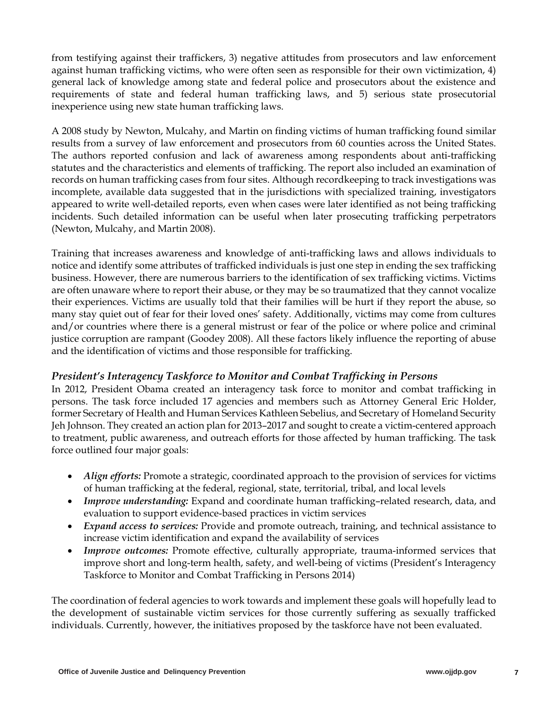against human trafficking victims, who were often seen as responsible for their own victimization, 4) general lack of knowledge among state and federal police and prosecutors about the existence and from testifying against their traffickers, 3) negative attitudes from prosecutors and law enforcement requirements of state and federal human trafficking laws, and 5) serious state prosecutorial inexperience using new state human trafficking laws.

A 2008 study by Newton, Mulcahy, and Martin on finding victims of human trafficking found similar results from a survey of law enforcement and prosecutors from 60 counties across the United States. The authors reported confusion and lack of awareness among respondents about anti-trafficking statutes and the characteristics and elements of trafficking. The report also included an examination of records on human trafficking cases from four sites. Although recordkeeping to track investigations was incomplete, available data suggested that in the jurisdictions with specialized training, investigators appeared to write well-detailed reports, even when cases were later identified as not being trafficking incidents. Such detailed information can be useful when later prosecuting trafficking perpetrators (Newton, Mulcahy, and Martin 2008).

 notice and identify some attributes of trafficked individuals is just one step in ending the sex trafficking are often unaware where to report their abuse, or they may be so traumatized that they cannot vocalize Training that increases awareness and knowledge of anti-trafficking laws and allows individuals to business. However, there are numerous barriers to the identification of sex trafficking victims. Victims their experiences. Victims are usually told that their families will be hurt if they report the abuse, so many stay quiet out of fear for their loved ones' safety. Additionally, victims may come from cultures and/or countries where there is a general mistrust or fear of the police or where police and criminal justice corruption are rampant (Goodey 2008). All these factors likely influence the reporting of abuse and the identification of victims and those responsible for trafficking.

#### *President's Interagency Taskforce to Monitor and Combat Trafficking in Persons*

 persons. The task force included 17 agencies and members such as Attorney General Eric Holder, to treatment, public awareness, and outreach efforts for those affected by human trafficking. The task In 2012, President Obama created an interagency task force to monitor and combat trafficking in former Secretary of Health and Human Services Kathleen Sebelius, and Secretary of Homeland Security Jeh Johnson. They created an action plan for 2013–2017 and sought to create a victim-centered approach force outlined four major goals:

- *Align efforts:* Promote a strategic, coordinated approach to the provision of services for victims of human trafficking at the federal, regional, state, territorial, tribal, and local levels
- • *Improve understanding:* Expand and coordinate human trafficking–related research, data, and evaluation to support evidence-based practices in victim services
- *Expand access to services:* Provide and promote outreach, training, and technical assistance to increase victim identification and expand the availability of services
- *Improve outcomes:* Promote effective, culturally appropriate, trauma-informed services that improve short and long-term health, safety, and well-being of victims (President's Interagency Taskforce to Monitor and Combat Trafficking in Persons 2014)

 The coordination of federal agencies to work towards and implement these goals will hopefully lead to the development of sustainable victim services for those currently suffering as sexually trafficked individuals. Currently, however, the initiatives proposed by the taskforce have not been evaluated.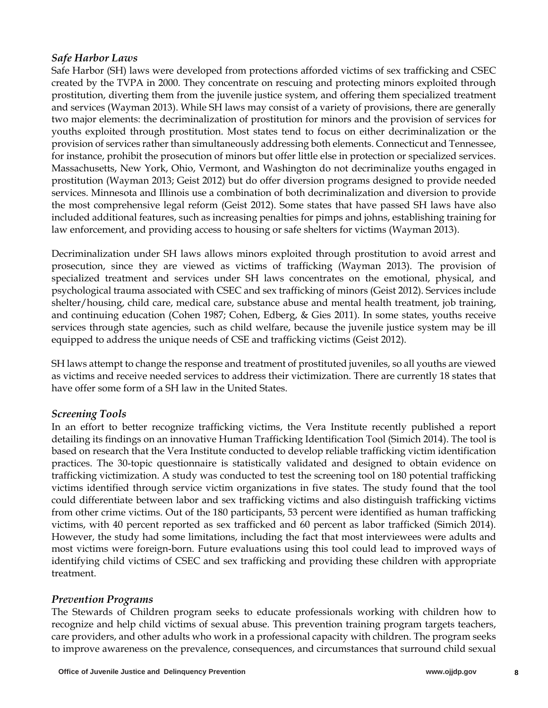#### *Safe Harbor Laws*

 and services (Wayman 2013). While SH laws may consist of a variety of provisions, there are generally included additional features, such as increasing penalties for pimps and johns, establishing training for Safe Harbor (SH) laws were developed from protections afforded victims of sex trafficking and CSEC created by the TVPA in 2000. They concentrate on rescuing and protecting minors exploited through prostitution, diverting them from the juvenile justice system, and offering them specialized treatment two major elements: the decriminalization of prostitution for minors and the provision of services for youths exploited through prostitution. Most states tend to focus on either decriminalization or the provision of services rather than simultaneously addressing both elements. Connecticut and Tennessee, for instance, prohibit the prosecution of minors but offer little else in protection or specialized services. Massachusetts, New York, Ohio, Vermont, and Washington do not decriminalize youths engaged in prostitution (Wayman 2013; Geist 2012) but do offer diversion programs designed to provide needed services. Minnesota and Illinois use a combination of both decriminalization and diversion to provide the most comprehensive legal reform (Geist 2012). Some states that have passed SH laws have also law enforcement, and providing access to housing or safe shelters for victims (Wayman 2013).

 psychological trauma associated with CSEC and sex trafficking of minors (Geist 2012). Services include shelter/housing, child care, medical care, substance abuse and mental health treatment, job training, Decriminalization under SH laws allows minors exploited through prostitution to avoid arrest and prosecution, since they are viewed as victims of trafficking (Wayman 2013). The provision of specialized treatment and services under SH laws concentrates on the emotional, physical, and and continuing education (Cohen 1987; Cohen, Edberg, & Gies 2011). In some states, youths receive services through state agencies, such as child welfare, because the juvenile justice system may be ill equipped to address the unique needs of CSE and trafficking victims (Geist 2012).

SH laws attempt to change the response and treatment of prostituted juveniles, so all youths are viewed as victims and receive needed services to address their victimization. There are currently 18 states that have offer some form of a SH law in the United States.

#### *Screening Tools*

 detailing its findings on an innovative Human Trafficking Identification Tool (Simich 2014). The tool is practices. The 30-topic questionnaire is statistically validated and designed to obtain evidence on victims, with 40 percent reported as sex trafficked and 60 percent as labor trafficked (Simich 2014). In an effort to better recognize trafficking victims, the Vera Institute recently published a report based on research that the Vera Institute conducted to develop reliable trafficking victim identification trafficking victimization. A study was conducted to test the screening tool on 180 potential trafficking victims identified through service victim organizations in five states. The study found that the tool could differentiate between labor and sex trafficking victims and also distinguish trafficking victims from other crime victims. Out of the 180 participants, 53 percent were identified as human trafficking However, the study had some limitations, including the fact that most interviewees were adults and most victims were foreign-born. Future evaluations using this tool could lead to improved ways of identifying child victims of CSEC and sex trafficking and providing these children with appropriate treatment.

#### *Prevention Programs*

 care providers, and other adults who work in a professional capacity with children. The program seeks The Stewards of Children program seeks to educate professionals working with children how to recognize and help child victims of sexual abuse. This prevention training program targets teachers, to improve awareness on the prevalence, consequences, and circumstances that surround child sexual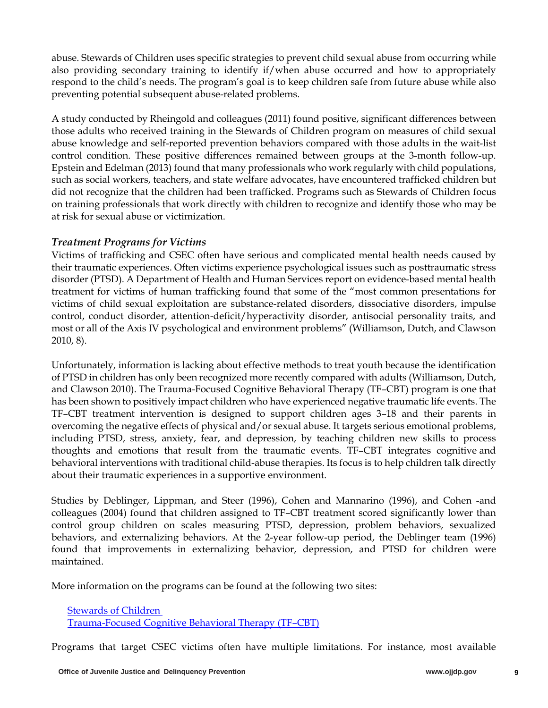abuse. Stewards of Children uses specific strategies to prevent child sexual abuse from occurring while also providing secondary training to identify if/when abuse occurred and how to appropriately respond to the child's needs. The program's goal is to keep children safe from future abuse while also preventing potential subsequent abuse-related problems.

A study conducted by Rheingold and colleagues (2011) found positive, significant differences between those adults who received training in the Stewards of Children program on measures of child sexual abuse knowledge and self-reported prevention behaviors compared with those adults in the wait-list control condition. These positive differences remained between groups at the 3-month follow-up. Epstein and Edelman (2013) found that many professionals who work regularly with child populations, such as social workers, teachers, and state welfare advocates, have encountered trafficked children but did not recognize that the children had been trafficked. Programs such as Stewards of Children focus on training professionals that work directly with children to recognize and identify those who may be at risk for sexual abuse or victimization.

#### *Treatment Programs for Victims*

Victims of trafficking and CSEC often have serious and complicated mental health needs caused by their traumatic experiences. Often victims experience psychological issues such as posttraumatic stress disorder (PTSD). A Department of Health and Human Services report on evidence-based mental health treatment for victims of human trafficking found that some of the "most common presentations for victims of child sexual exploitation are substance-related disorders, dissociative disorders, impulse control, conduct disorder, attention-deficit/hyperactivity disorder, antisocial personality traits, and most or all of the Axis IV psychological and environment problems" (Williamson, Dutch, and Clawson 2010, 8).

 and Clawson 2010). The Trauma-Focused Cognitive Behavioral Therapy (TF–CBT) program is one that Unfortunately, information is lacking about effective methods to treat youth because the identification of PTSD in children has only been recognized more recently compared with adults (Williamson, Dutch, has been shown to positively impact children who have experienced negative traumatic life events. The TF–CBT treatment intervention is designed to support children ages 3–18 and their parents in overcoming the negative effects of physical and/or sexual abuse. It targets serious emotional problems, including PTSD, stress, anxiety, fear, and depression, by teaching children new skills to process thoughts and emotions that result from the traumatic events. TF–CBT integrates cognitive and behavioral interventions with traditional child-abuse therapies. Its focus is to help children talk directly about their traumatic experiences in a supportive environment.

Studies by Deblinger, Lippman, and Steer (1996), Cohen and Mannarino (1996), and Cohen -and colleagues (2004) found that children assigned to TF–CBT treatment scored significantly lower than control group children on scales measuring PTSD, depression, problem behaviors, sexualized behaviors, and externalizing behaviors. At the 2-year follow-up period, the Deblinger team (1996) found that improvements in externalizing behavior, depression, and PTSD for children were maintained.

More information on the programs can be found at the following two sites:

[Stewards of Children](http://www.campbellcollaboration.org/lib/download/1623?ID=327)  [Trauma-Focused Cognitive Behavioral Therapy \(TF–CBT\)](http://www.chhs.ca.gov/CWCDOC/CSEC%20Fact%20Sheet%20-%201.pdf?ID=195) 

Programs that target CSEC victims often have multiple limitations. For instance, most available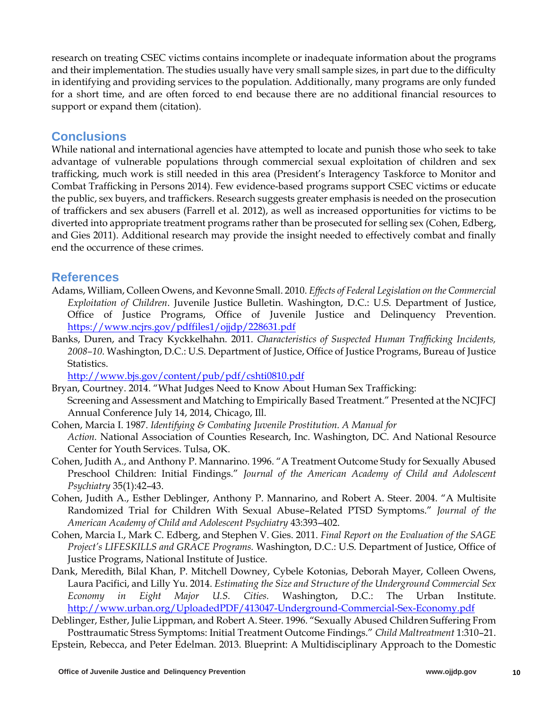research on treating CSEC victims contains incomplete or inadequate information about the programs and their implementation. The studies usually have very small sample sizes, in part due to the difficulty in identifying and providing services to the population. Additionally, many programs are only funded for a short time, and are often forced to end because there are no additional financial resources to support or expand them (citation).

## **Conclusions**

 advantage of vulnerable populations through commercial sexual exploitation of children and sex of traffickers and sex abusers (Farrell et al. 2012), as well as increased opportunities for victims to be While national and international agencies have attempted to locate and punish those who seek to take trafficking, much work is still needed in this area (President's Interagency Taskforce to Monitor and Combat Trafficking in Persons 2014). Few evidence-based programs support CSEC victims or educate the public, sex buyers, and traffickers. Research suggests greater emphasis is needed on the prosecution diverted into appropriate treatment programs rather than be prosecuted for selling sex (Cohen, Edberg, and Gies 2011). Additional research may provide the insight needed to effectively combat and finally end the occurrence of these crimes.

## **References**

- Office of Justice Programs, Office of Juvenile Justice and Delinquency Prevention. https://www.ncjrs.gov/pdffiles1/ojjdp/228631.pdf Adams, William, Colleen Owens, and Kevonne Small. 2010. *Effects of Federal Legislation on the Commercial Exploitation of Children*. Juvenile Justice Bulletin. Washington, D.C.: U.S. Department of Justice,
- Banks, Duren, and Tracy Kyckkelhahn. 2011. *Characteristics of Suspected Human Trafficking Incidents*, *2008–10*. Washington, D.C.: U.S. Department of Justice, Office of Justice Programs, Bureau of Justice Statistics.

http://www.bjs.gov/content/pub/pdf/cshti0810.pdf

- Bryan, Courtney. 2014. "What Judges Need to Know About Human Sex Trafficking: Screening and Assessment and Matching to Empirically Based Treatment." Presented at the NCJFCJ Annual Conference July 14, 2014, Chicago, Ill.
- Cohen, Marcia I. 1987. *Identifying & Combating Juvenile Prostitution. A Manual for Action.* National Association of Counties Research, Inc. Washington, DC. And National Resource Center for Youth Services. Tulsa, OK.
- Cohen, Judith A., and Anthony P. Mannarino. 1996. "A Treatment Outcome Study for Sexually Abused Preschool Children: Initial Findings." *Journal of the American Academy of Child and Adolescent Psychiatry* 35(1):42–43.
- Cohen, Judith A., Esther Deblinger, Anthony P. Mannarino, and Robert A. Steer. 2004. "A Multisite Randomized Trial for Children With Sexual Abuse–Related PTSD Symptoms." *Journal of the American Academy of Child and Adolescent Psychiatry* 43:393–402.
- Cohen, Marcia I., Mark C. Edberg, and Stephen V. Gies. 2011. *Final Report on the Evaluation of the SAGE Project's LIFESKILLS and GRACE Programs.* Washington, D.C.: U.S. Department of Justice, Office of Justice Programs, National Institute of Justice.
- Laura Pacifici, and Lilly Yu. 2014. *Estimating the Size and Structure of the Underground Commercial Sex*  http://www.urban.org/UploadedPDF/413047-Underground-Commercial-Sex-Economy.pdf Dank, Meredith, Bilal Khan, P. Mitchell Downey, Cybele Kotonias, Deborah Mayer, Colleen Owens, *Economy in Eight Major U.S. Cities.* Washington, D.C.: The Urban Institute.

 <http://www.urban.org/UploadedPDF/413047-Underground-Commercial-Sex-Economy.pdf>Deblinger, Esther, Julie Lippman, and Robert A. Steer. 1996. "Sexually Abused Children Suffering From Posttraumatic Stress Symptoms: Initial Treatment Outcome Findings." *Child Maltreatment* 1:310–21. Epstein, Rebecca, and Peter Edelman. 2013. Blueprint: A Multidisciplinary Approach to the Domestic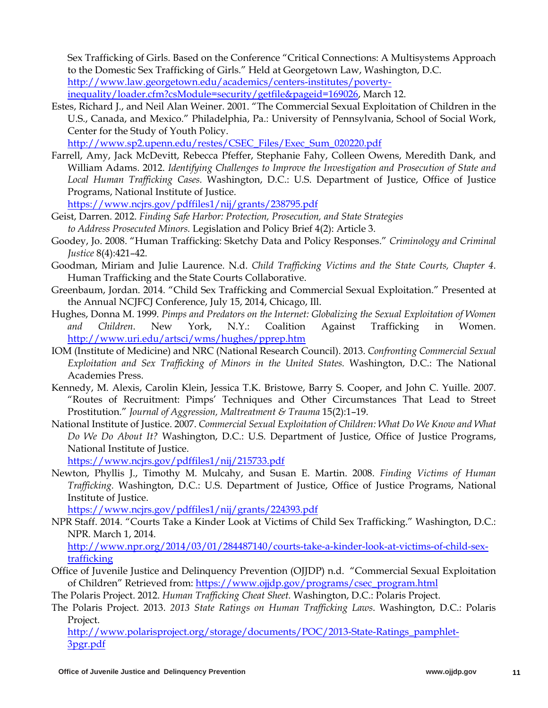Sex Trafficking of Girls. Based on the Conference "Critical Connections: A Multisystems Approach to the Domestic Sex Trafficking of Girls." Held at Georgetown Law, Washington, D.C. [http://www.law.georgetown.edu/academics/centers-institutes/poverty](http://www.womenssupportproject.co.uk/content/commercialsexualexploitation/173,172?csModule=security/getfile&pageid=169026)[inequality/loader.cfm?csModule=security/getfile&pageid=169026,](http://www.womenssupportproject.co.uk/content/commercialsexualexploitation/173,172?csModule=security/getfile&pageid=169026) March 12.

 Estes, Richard J., and Neil Alan Weiner. 2001. "The Commercial Sexual Exploitation of Children in the U.S., Canada, and Mexico." Philadelphia, Pa.: University of Pennsylvania, School of Social Work, Center for the Study of Youth Policy.

[http://www.sp2.upenn.edu/restes/CSEC\\_Files/Exec\\_Sum\\_020220.pdf](http://www.chhs.ca.gov/CWCDOC/Ending%20CSEC%20-%20A%20Call%20for%20Multi-System%20Collaboration%20in%20CA%20-%20February%202013.pdf) 

Farrell, Amy, Jack McDevitt, Rebecca Pfeffer, Stephanie Fahy, Colleen Owens, Meredith Dank, and William Adams. 2012. *Identifying Challenges to Improve the Investigation and Prosecution of State and Local Human Trafficking Cases.* Washington, D.C.: U.S. Department of Justice, Office of Justice Programs, National Institute of Justice.

<https://www.ncjrs.gov/pdffiles1/nij/grants/238795.pdf>

- Geist, Darren. 2012. *Finding Safe Harbor: Protection, Prosecution, and State Strategies to Address Prosecuted Minors.* Legislation and Policy Brief 4(2): Article 3.
- Goodey, Jo. 2008. "Human Trafficking: Sketchy Data and Policy Responses." *Criminology and Criminal Justice* 8(4):421–42.
- Goodman, Miriam and Julie Laurence. N.d. *Child Trafficking Victims and the State Courts, Chapter 4*. Human Trafficking and the State Courts Collaborative.
- Greenbaum, Jordan. 2014. "Child Sex Trafficking and Commercial Sexual Exploitation." Presented at the Annual NCJFCJ Conference, July 15, 2014, Chicago, Ill.
- $in$ Hughes, Donna M. 1999. *Pimps and Predators on the Internet: Globalizing the Sexual Exploitation of Women and Children*. New York, N.Y.: Coalition Against Trafficking in Women. [http://www.uri.edu/artsci/wms/hughes/pprep.htm](http://www.crimesolutions.gov/ProgramDetails.aspx)
- IOM (Institute of Medicine) and NRC (National Research Council). 2013. *Confronting Commercial Sexual Exploitation and Sex Trafficking of Minors in the United States.* Washington, D.C.: The National Academies Press.
- Prostitution." *Journal of Aggression, Maltreatment & Trauma* 15(2):1–19. Kennedy, M. Alexis, Carolin Klein, Jessica T.K. Bristowe, Barry S. Cooper, and John C. Yuille. 2007. "Routes of Recruitment: Pimps' Techniques and Other Circumstances That Lead to Street
- National Institute of Justice. 2007. *Commercial Sexual Exploitation of Children: What Do We Know and What Do We Do About It?* Washington, D.C.: U.S. Department of Justice, Office of Justice Programs, National Institute of Justice.

https://www.ncjrs.gov/pdffiles1/nij/215733.pdf

hewton, Phyllis J., Timothy M. Mulcahy, and Susan E. Martin. 2008. *Finding Victims of Human Trafficking.* Washington, D.C.: U.S. Department of Justice, Office of Justice Programs, National Institute of Justice.

https://www.ncjrs.gov/pdffiles1/nij/grants/224393.pdf

https://wew.ncjr.gov/pdf. 2014. "Courts Take a Kinder Look at Victims of Child Sex Trafficking." Washington, D.C.: NPR. March 1, 2014.

**trafficking** [http://www.npr.org/2014/03/01/284487140/courts-take-a-kinder-look-at-victims-of-child-sex-](http://www.bjs.gov/content/pub/pdf/cshti0810.pdf)

 Office of Juvenile Justice and Delinquency Prevention (OJJDP) n.d. "Commercial Sexual Exploitation of Children" Retrieved from: https://www.ojjdp.gov/programs/csec\_program.html

The Polaris Project. 2012. *Human Trafficking Cheat Sheet.* Washington, D.C.: Polaris Project.

The Polaris Project. 2013. *2013 State Ratings on Human Trafficking Laws*. Washington, D.C.: Polaris Project.

 [3pgr.pdf](http://www.polarisproject.org/storage/documents/POC/2013-State-Ratings_pamphlet-3pgr.pdf) [http://www.polarisproject.org/storage/documents/POC/2013-State-Ratings\\_pamphlet-](http://www.polarisproject.org/storage/documents/POC/2013-State-Ratings_pamphlet-3pgr.pdf)